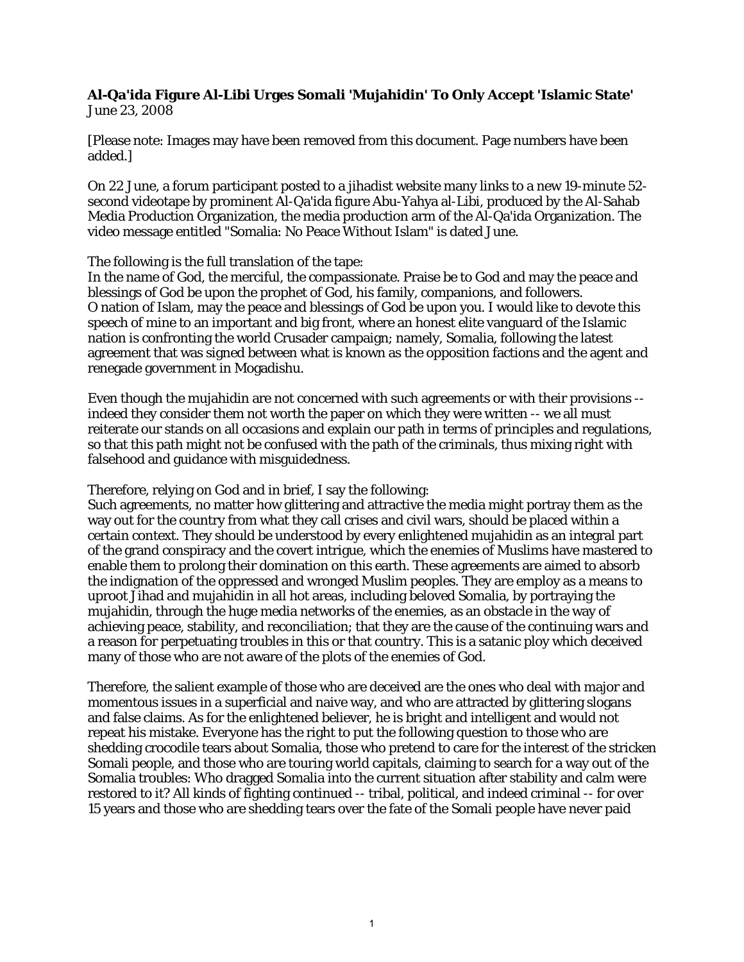## **Al-Qa'ida Figure Al-Libi Urges Somali 'Mujahidin' To Only Accept 'Islamic State'** June 23, 2008

[Please note: Images may have been removed from this document. Page numbers have been added.]

On 22 June, a forum participant posted to a jihadist website many links to a new 19-minute 52 second videotape by prominent Al-Qa'ida figure Abu-Yahya al-Libi, produced by the Al-Sahab Media Production Organization, the media production arm of the Al-Qa'ida Organization. The video message entitled "Somalia: No Peace Without Islam" is dated June.

The following is the full translation of the tape:

In the name of God, the merciful, the compassionate. Praise be to God and may the peace and blessings of God be upon the prophet of God, his family, companions, and followers. O nation of Islam, may the peace and blessings of God be upon you. I would like to devote this speech of mine to an important and big front, where an honest elite vanguard of the Islamic nation is confronting the world Crusader campaign; namely, Somalia, following the latest agreement that was signed between what is known as the opposition factions and the agent and renegade government in Mogadishu.

Even though the mujahidin are not concerned with such agreements or with their provisions - indeed they consider them not worth the paper on which they were written -- we all must reiterate our stands on all occasions and explain our path in terms of principles and regulations, so that this path might not be confused with the path of the criminals, thus mixing right with falsehood and guidance with misguidedness.

Therefore, relying on God and in brief, I say the following:

Such agreements, no matter how glittering and attractive the media might portray them as the way out for the country from what they call crises and civil wars, should be placed within a certain context. They should be understood by every enlightened mujahidin as an integral part of the grand conspiracy and the covert intrigue, which the enemies of Muslims have mastered to enable them to prolong their domination on this earth. These agreements are aimed to absorb the indignation of the oppressed and wronged Muslim peoples. They are employ as a means to uproot Jihad and mujahidin in all hot areas, including beloved Somalia, by portraying the mujahidin, through the huge media networks of the enemies, as an obstacle in the way of achieving peace, stability, and reconciliation; that they are the cause of the continuing wars and a reason for perpetuating troubles in this or that country. This is a satanic ploy which deceived many of those who are not aware of the plots of the enemies of God.

Therefore, the salient example of those who are deceived are the ones who deal with major and momentous issues in a superficial and naive way, and who are attracted by glittering slogans and false claims. As for the enlightened believer, he is bright and intelligent and would not repeat his mistake. Everyone has the right to put the following question to those who are shedding crocodile tears about Somalia, those who pretend to care for the interest of the stricken Somali people, and those who are touring world capitals, claiming to search for a way out of the Somalia troubles: Who dragged Somalia into the current situation after stability and calm were restored to it? All kinds of fighting continued -- tribal, political, and indeed criminal -- for over 15 years and those who are shedding tears over the fate of the Somali people have never paid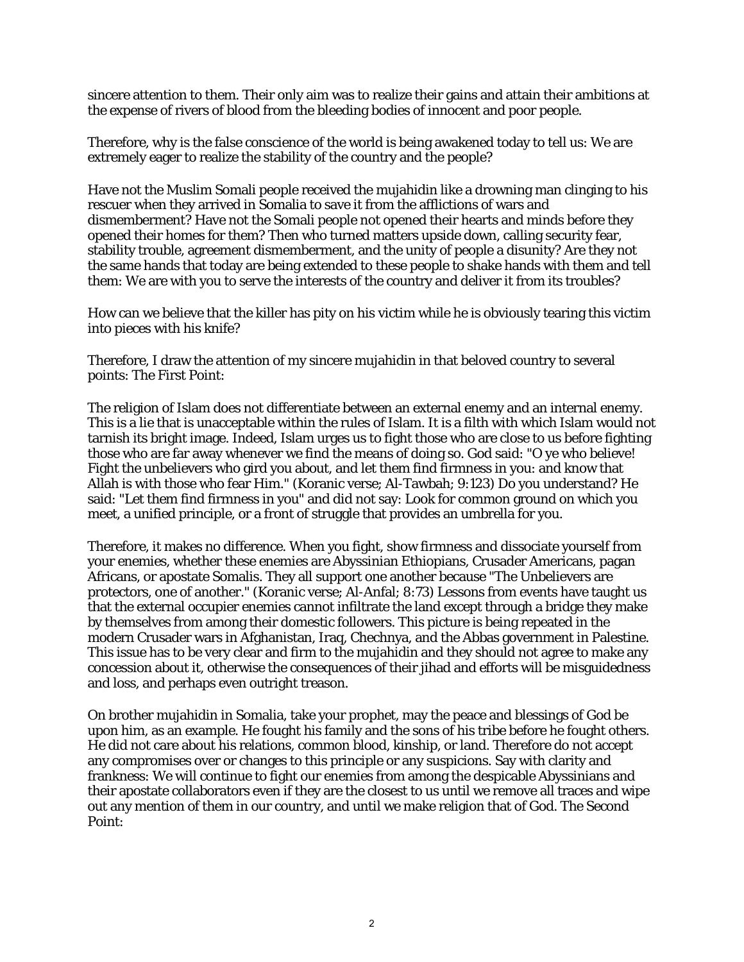sincere attention to them. Their only aim was to realize their gains and attain their ambitions at the expense of rivers of blood from the bleeding bodies of innocent and poor people.

Therefore, why is the false conscience of the world is being awakened today to tell us: We are extremely eager to realize the stability of the country and the people?

Have not the Muslim Somali people received the mujahidin like a drowning man clinging to his rescuer when they arrived in Somalia to save it from the afflictions of wars and dismemberment? Have not the Somali people not opened their hearts and minds before they opened their homes for them? Then who turned matters upside down, calling security fear, stability trouble, agreement dismemberment, and the unity of people a disunity? Are they not the same hands that today are being extended to these people to shake hands with them and tell them: We are with you to serve the interests of the country and deliver it from its troubles?

How can we believe that the killer has pity on his victim while he is obviously tearing this victim into pieces with his knife?

Therefore, I draw the attention of my sincere mujahidin in that beloved country to several points: The First Point:

The religion of Islam does not differentiate between an external enemy and an internal enemy. This is a lie that is unacceptable within the rules of Islam. It is a filth with which Islam would not tarnish its bright image. Indeed, Islam urges us to fight those who are close to us before fighting those who are far away whenever we find the means of doing so. God said: "O ye who believe! Fight the unbelievers who gird you about, and let them find firmness in you: and know that Allah is with those who fear Him." (Koranic verse; Al-Tawbah; 9:123) Do you understand? He said: "Let them find firmness in you" and did not say: Look for common ground on which you meet, a unified principle, or a front of struggle that provides an umbrella for you.

Therefore, it makes no difference. When you fight, show firmness and dissociate yourself from your enemies, whether these enemies are Abyssinian Ethiopians, Crusader Americans, pagan Africans, or apostate Somalis. They all support one another because "The Unbelievers are protectors, one of another." (Koranic verse; Al-Anfal; 8:73) Lessons from events have taught us that the external occupier enemies cannot infiltrate the land except through a bridge they make by themselves from among their domestic followers. This picture is being repeated in the modern Crusader wars in Afghanistan, Iraq, Chechnya, and the Abbas government in Palestine. This issue has to be very clear and firm to the mujahidin and they should not agree to make any concession about it, otherwise the consequences of their jihad and efforts will be misguidedness and loss, and perhaps even outright treason.

On brother mujahidin in Somalia, take your prophet, may the peace and blessings of God be upon him, as an example. He fought his family and the sons of his tribe before he fought others. He did not care about his relations, common blood, kinship, or land. Therefore do not accept any compromises over or changes to this principle or any suspicions. Say with clarity and frankness: We will continue to fight our enemies from among the despicable Abyssinians and their apostate collaborators even if they are the closest to us until we remove all traces and wipe out any mention of them in our country, and until we make religion that of God. The Second Point: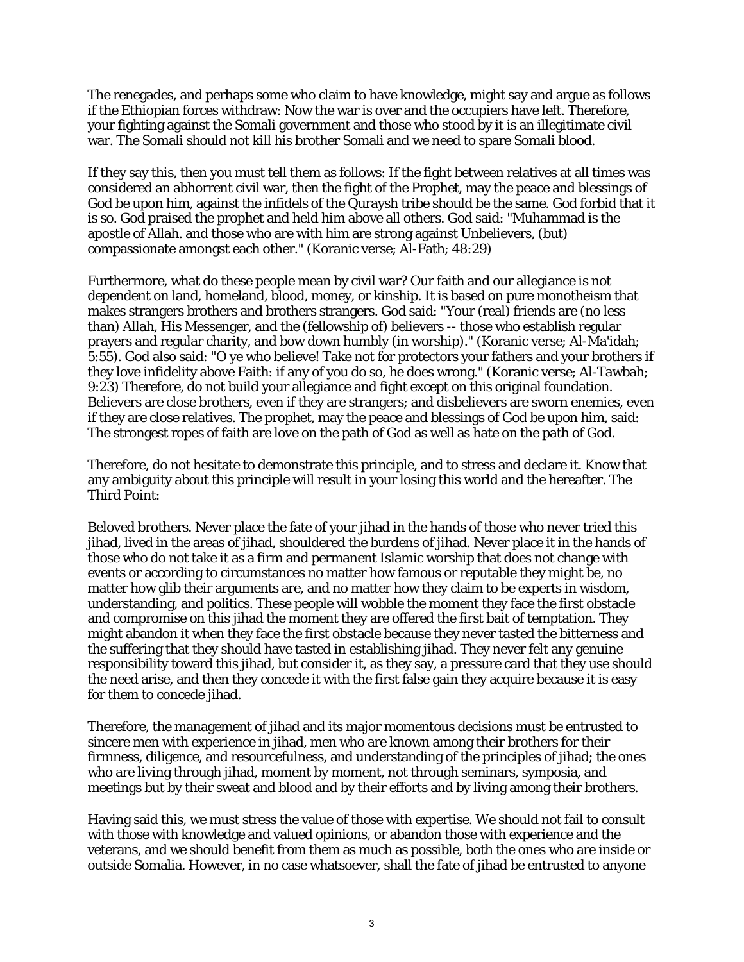The renegades, and perhaps some who claim to have knowledge, might say and argue as follows if the Ethiopian forces withdraw: Now the war is over and the occupiers have left. Therefore, your fighting against the Somali government and those who stood by it is an illegitimate civil war. The Somali should not kill his brother Somali and we need to spare Somali blood.

If they say this, then you must tell them as follows: If the fight between relatives at all times was considered an abhorrent civil war, then the fight of the Prophet, may the peace and blessings of God be upon him, against the infidels of the Quraysh tribe should be the same. God forbid that it is so. God praised the prophet and held him above all others. God said: "Muhammad is the apostle of Allah. and those who are with him are strong against Unbelievers, (but) compassionate amongst each other." (Koranic verse; Al-Fath; 48:29)

Furthermore, what do these people mean by civil war? Our faith and our allegiance is not dependent on land, homeland, blood, money, or kinship. It is based on pure monotheism that makes strangers brothers and brothers strangers. God said: "Your (real) friends are (no less than) Allah, His Messenger, and the (fellowship of) believers -- those who establish regular prayers and regular charity, and bow down humbly (in worship)." (Koranic verse; Al-Ma'idah; 5:55). God also said: "O ye who believe! Take not for protectors your fathers and your brothers if they love infidelity above Faith: if any of you do so, he does wrong." (Koranic verse; Al-Tawbah; 9:23) Therefore, do not build your allegiance and fight except on this original foundation. Believers are close brothers, even if they are strangers; and disbelievers are sworn enemies, even if they are close relatives. The prophet, may the peace and blessings of God be upon him, said: The strongest ropes of faith are love on the path of God as well as hate on the path of God.

Therefore, do not hesitate to demonstrate this principle, and to stress and declare it. Know that any ambiguity about this principle will result in your losing this world and the hereafter. The Third Point:

Beloved brothers. Never place the fate of your jihad in the hands of those who never tried this jihad, lived in the areas of jihad, shouldered the burdens of jihad. Never place it in the hands of those who do not take it as a firm and permanent Islamic worship that does not change with events or according to circumstances no matter how famous or reputable they might be, no matter how glib their arguments are, and no matter how they claim to be experts in wisdom, understanding, and politics. These people will wobble the moment they face the first obstacle and compromise on this jihad the moment they are offered the first bait of temptation. They might abandon it when they face the first obstacle because they never tasted the bitterness and the suffering that they should have tasted in establishing jihad. They never felt any genuine responsibility toward this jihad, but consider it, as they say, a pressure card that they use should the need arise, and then they concede it with the first false gain they acquire because it is easy for them to concede jihad.

Therefore, the management of jihad and its major momentous decisions must be entrusted to sincere men with experience in jihad, men who are known among their brothers for their firmness, diligence, and resourcefulness, and understanding of the principles of jihad; the ones who are living through jihad, moment by moment, not through seminars, symposia, and meetings but by their sweat and blood and by their efforts and by living among their brothers.

Having said this, we must stress the value of those with expertise. We should not fail to consult with those with knowledge and valued opinions, or abandon those with experience and the veterans, and we should benefit from them as much as possible, both the ones who are inside or outside Somalia. However, in no case whatsoever, shall the fate of jihad be entrusted to anyone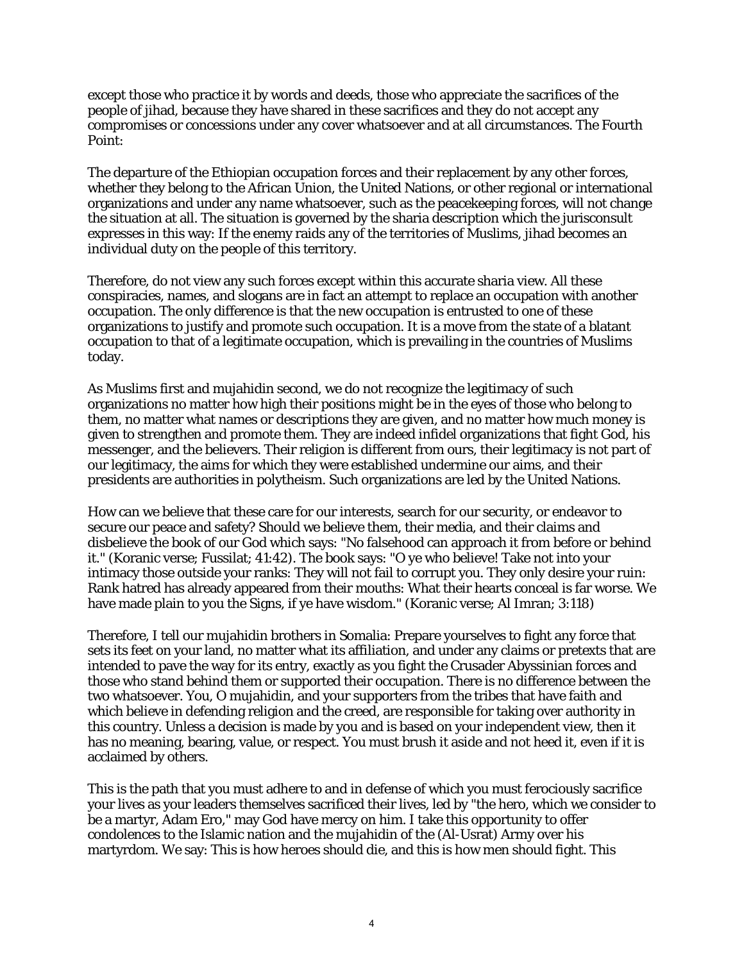except those who practice it by words and deeds, those who appreciate the sacrifices of the people of jihad, because they have shared in these sacrifices and they do not accept any compromises or concessions under any cover whatsoever and at all circumstances. The Fourth Point:

The departure of the Ethiopian occupation forces and their replacement by any other forces, whether they belong to the African Union, the United Nations, or other regional or international organizations and under any name whatsoever, such as the peacekeeping forces, will not change the situation at all. The situation is governed by the sharia description which the jurisconsult expresses in this way: If the enemy raids any of the territories of Muslims, jihad becomes an individual duty on the people of this territory.

Therefore, do not view any such forces except within this accurate sharia view. All these conspiracies, names, and slogans are in fact an attempt to replace an occupation with another occupation. The only difference is that the new occupation is entrusted to one of these organizations to justify and promote such occupation. It is a move from the state of a blatant occupation to that of a legitimate occupation, which is prevailing in the countries of Muslims today.

As Muslims first and mujahidin second, we do not recognize the legitimacy of such organizations no matter how high their positions might be in the eyes of those who belong to them, no matter what names or descriptions they are given, and no matter how much money is given to strengthen and promote them. They are indeed infidel organizations that fight God, his messenger, and the believers. Their religion is different from ours, their legitimacy is not part of our legitimacy, the aims for which they were established undermine our aims, and their presidents are authorities in polytheism. Such organizations are led by the United Nations.

How can we believe that these care for our interests, search for our security, or endeavor to secure our peace and safety? Should we believe them, their media, and their claims and disbelieve the book of our God which says: "No falsehood can approach it from before or behind it." (Koranic verse; Fussilat; 41:42). The book says: "O ye who believe! Take not into your intimacy those outside your ranks: They will not fail to corrupt you. They only desire your ruin: Rank hatred has already appeared from their mouths: What their hearts conceal is far worse. We have made plain to you the Signs, if ye have wisdom." (Koranic verse; Al Imran; 3:118)

Therefore, I tell our mujahidin brothers in Somalia: Prepare yourselves to fight any force that sets its feet on your land, no matter what its affiliation, and under any claims or pretexts that are intended to pave the way for its entry, exactly as you fight the Crusader Abyssinian forces and those who stand behind them or supported their occupation. There is no difference between the two whatsoever. You, O mujahidin, and your supporters from the tribes that have faith and which believe in defending religion and the creed, are responsible for taking over authority in this country. Unless a decision is made by you and is based on your independent view, then it has no meaning, bearing, value, or respect. You must brush it aside and not heed it, even if it is acclaimed by others.

This is the path that you must adhere to and in defense of which you must ferociously sacrifice your lives as your leaders themselves sacrificed their lives, led by "the hero, which we consider to be a martyr, Adam Ero," may God have mercy on him. I take this opportunity to offer condolences to the Islamic nation and the mujahidin of the (Al-Usrat) Army over his martyrdom. We say: This is how heroes should die, and this is how men should fight. This